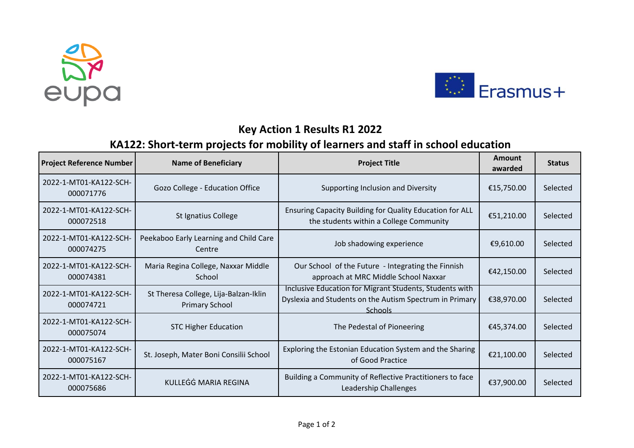



## **Key Action 1 Results R1 2022**

## **KA122: Short-term projects for mobility of learners and staff in school education**

| <b>Project Reference Number</b>     | <b>Name of Beneficiary</b>                                     | <b>Project Title</b>                                                                                                                 | <b>Amount</b><br>awarded | <b>Status</b> |
|-------------------------------------|----------------------------------------------------------------|--------------------------------------------------------------------------------------------------------------------------------------|--------------------------|---------------|
| 2022-1-MT01-KA122-SCH-<br>000071776 | Gozo College - Education Office                                | Supporting Inclusion and Diversity                                                                                                   | €15,750.00               | Selected      |
| 2022-1-MT01-KA122-SCH-<br>000072518 | St Ignatius College                                            | Ensuring Capacity Building for Quality Education for ALL<br>the students within a College Community                                  | €51,210.00               | Selected      |
| 2022-1-MT01-KA122-SCH-<br>000074275 | Peekaboo Early Learning and Child Care<br>Centre               | Job shadowing experience                                                                                                             | €9,610.00                | Selected      |
| 2022-1-MT01-KA122-SCH-<br>000074381 | Maria Regina College, Naxxar Middle<br>School                  | Our School of the Future - Integrating the Finnish<br>approach at MRC Middle School Naxxar                                           | €42,150.00               | Selected      |
| 2022-1-MT01-KA122-SCH-<br>000074721 | St Theresa College, Lija-Balzan-Iklin<br><b>Primary School</b> | Inclusive Education for Migrant Students, Students with<br>Dyslexia and Students on the Autism Spectrum in Primary<br><b>Schools</b> | €38,970.00               | Selected      |
| 2022-1-MT01-KA122-SCH-<br>000075074 | <b>STC Higher Education</b>                                    | The Pedestal of Pioneering                                                                                                           | €45,374.00               | Selected      |
| 2022-1-MT01-KA122-SCH-<br>000075167 | St. Joseph, Mater Boni Consilii School                         | Exploring the Estonian Education System and the Sharing<br>of Good Practice                                                          | €21,100.00               | Selected      |
| 2022-1-MT01-KA122-SCH-<br>000075686 | KULLEGG MARIA REGINA                                           | Building a Community of Reflective Practitioners to face<br>Leadership Challenges                                                    | €37,900.00               | Selected      |